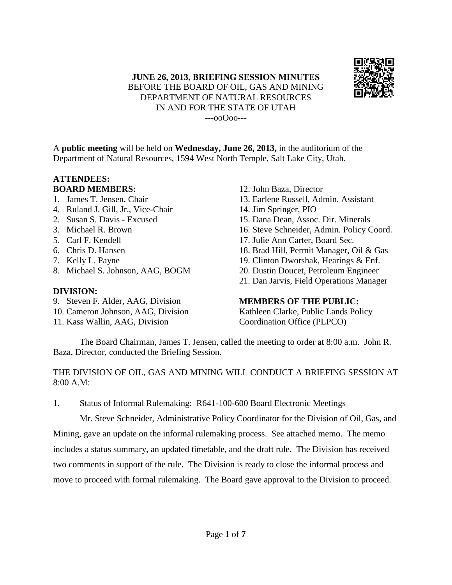#### **JUNE 26, 2013, BRIEFING SESSION MINUTES** BEFORE THE BOARD OF OIL, GAS AND MINING DEPARTMENT OF NATURAL RESOURCES IN AND FOR THE STATE OF UTAH ---ooOoo---



A **public meeting** will be held on **Wednesday, June 26, 2013,** in the auditorium of the Department of Natural Resources, 1594 West North Temple, Salt Lake City, Utah.

## **ATTENDEES: BOARD MEMBERS:**

- 1. James T. Jensen, Chair
- 4. Ruland J. Gill, Jr., Vice-Chair
- 2. Susan S. Davis Excused
- 3. Michael R. Brown
- 5. Carl F. Kendell
- 6. Chris D. Hansen
- 7. Kelly L. Payne
- 8. Michael S. Johnson, AAG, BOGM

# **DIVISION:**

- 9. Steven F. Alder, AAG, Division
- 10. Cameron Johnson, AAG, Division
- 11. Kass Wallin, AAG, Division
- 12. John Baza, Director
- 13. Earlene Russell, Admin. Assistant
- 14. Jim Springer, PIO
- 15. Dana Dean, Assoc. Dir. Minerals
- 16. Steve Schneider, Admin. Policy Coord.
- 17. Julie Ann Carter, Board Sec.
- 18. Brad Hill, Permit Manager, Oil & Gas
- 19. Clinton Dworshak, Hearings & Enf.
- 20. Dustin Doucet, Petroleum Engineer
- 21. Dan Jarvis, Field Operations Manager

# **MEMBERS OF THE PUBLIC:**

Kathleen Clarke, Public Lands Policy Coordination Office (PLPCO)

The Board Chairman, James T. Jensen, called the meeting to order at 8:00 a.m. John R. Baza, Director, conducted the Briefing Session.

THE DIVISION OF OIL, GAS AND MINING WILL CONDUCT A BRIEFING SESSION AT 8:00 A.M:

1. Status of Informal Rulemaking: R641-100-600 Board Electronic Meetings

Mr. Steve Schneider, Administrative Policy Coordinator for the Division of Oil, Gas, and Mining, gave an update on the informal rulemaking process. See attached memo. The memo includes a status summary, an updated timetable, and the draft rule. The Division has received two comments in support of the rule. The Division is ready to close the informal process and move to proceed with formal rulemaking. The Board gave approval to the Division to proceed.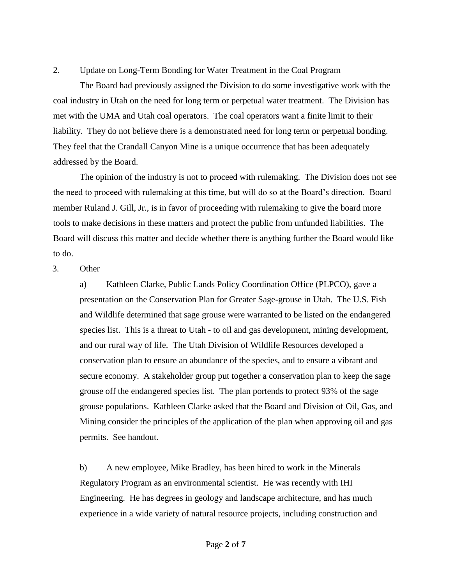2. Update on Long-Term Bonding for Water Treatment in the Coal Program

The Board had previously assigned the Division to do some investigative work with the coal industry in Utah on the need for long term or perpetual water treatment. The Division has met with the UMA and Utah coal operators. The coal operators want a finite limit to their liability. They do not believe there is a demonstrated need for long term or perpetual bonding. They feel that the Crandall Canyon Mine is a unique occurrence that has been adequately addressed by the Board.

The opinion of the industry is not to proceed with rulemaking. The Division does not see the need to proceed with rulemaking at this time, but will do so at the Board's direction. Board member Ruland J. Gill, Jr., is in favor of proceeding with rulemaking to give the board more tools to make decisions in these matters and protect the public from unfunded liabilities. The Board will discuss this matter and decide whether there is anything further the Board would like to do.

#### 3. Other

a) Kathleen Clarke, Public Lands Policy Coordination Office (PLPCO), gave a presentation on the Conservation Plan for Greater Sage-grouse in Utah. The U.S. Fish and Wildlife determined that sage grouse were warranted to be listed on the endangered species list. This is a threat to Utah - to oil and gas development, mining development, and our rural way of life. The Utah Division of Wildlife Resources developed a conservation plan to ensure an abundance of the species, and to ensure a vibrant and secure economy. A stakeholder group put together a conservation plan to keep the sage grouse off the endangered species list. The plan portends to protect 93% of the sage grouse populations. Kathleen Clarke asked that the Board and Division of Oil, Gas, and Mining consider the principles of the application of the plan when approving oil and gas permits. See handout.

b) A new employee, Mike Bradley, has been hired to work in the Minerals Regulatory Program as an environmental scientist. He was recently with IHI Engineering. He has degrees in geology and landscape architecture, and has much experience in a wide variety of natural resource projects, including construction and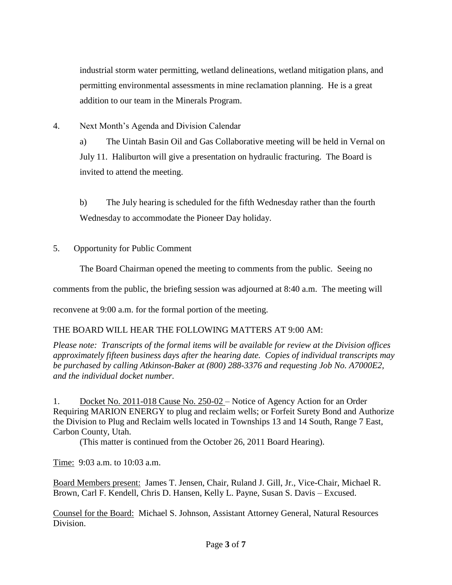industrial storm water permitting, wetland delineations, wetland mitigation plans, and permitting environmental assessments in mine reclamation planning. He is a great addition to our team in the Minerals Program.

4. Next Month's Agenda and Division Calendar

a) The Uintah Basin Oil and Gas Collaborative meeting will be held in Vernal on July 11. Haliburton will give a presentation on hydraulic fracturing. The Board is invited to attend the meeting.

b) The July hearing is scheduled for the fifth Wednesday rather than the fourth Wednesday to accommodate the Pioneer Day holiday.

5. Opportunity for Public Comment

The Board Chairman opened the meeting to comments from the public. Seeing no

comments from the public, the briefing session was adjourned at 8:40 a.m. The meeting will

reconvene at 9:00 a.m. for the formal portion of the meeting.

## THE BOARD WILL HEAR THE FOLLOWING MATTERS AT 9:00 AM:

*Please note: Transcripts of the formal items will be available for review at the Division offices approximately fifteen business days after the hearing date. Copies of individual transcripts may be purchased by calling Atkinson-Baker at (800) 288-3376 and requesting Job No. A7000E2, and the individual docket number.*

1. Docket No. 2011-018 Cause No. 250-02 – Notice of Agency Action for an Order Requiring MARION ENERGY to plug and reclaim wells; or Forfeit Surety Bond and Authorize the Division to Plug and Reclaim wells located in Townships 13 and 14 South, Range 7 East, Carbon County, Utah.

(This matter is continued from the October 26, 2011 Board Hearing).

Time: 9:03 a.m. to 10:03 a.m.

Board Members present: James T. Jensen, Chair, Ruland J. Gill, Jr., Vice-Chair, Michael R. Brown, Carl F. Kendell, Chris D. Hansen, Kelly L. Payne, Susan S. Davis – Excused.

Counsel for the Board: Michael S. Johnson, Assistant Attorney General, Natural Resources Division.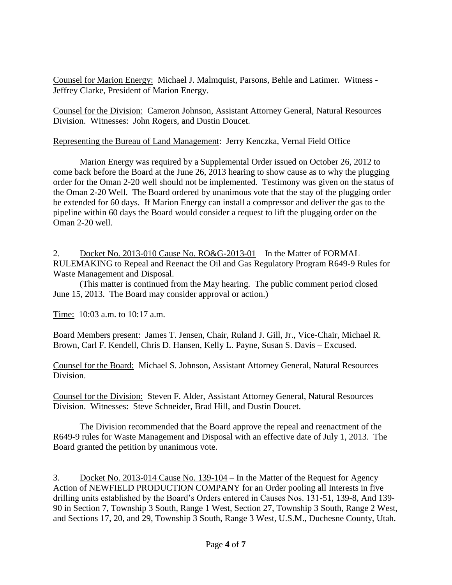Counsel for Marion Energy: Michael J. Malmquist, Parsons, Behle and Latimer. Witness - Jeffrey Clarke, President of Marion Energy.

Counsel for the Division: Cameron Johnson, Assistant Attorney General, Natural Resources Division. Witnesses: John Rogers, and Dustin Doucet.

### Representing the Bureau of Land Management: Jerry Kenczka, Vernal Field Office

Marion Energy was required by a Supplemental Order issued on October 26, 2012 to come back before the Board at the June 26, 2013 hearing to show cause as to why the plugging order for the Oman 2-20 well should not be implemented. Testimony was given on the status of the Oman 2-20 Well. The Board ordered by unanimous vote that the stay of the plugging order be extended for 60 days. If Marion Energy can install a compressor and deliver the gas to the pipeline within 60 days the Board would consider a request to lift the plugging order on the Oman 2-20 well.

2. Docket No. 2013-010 Cause No. RO&G-2013-01 – In the Matter of FORMAL RULEMAKING to Repeal and Reenact the Oil and Gas Regulatory Program R649-9 Rules for Waste Management and Disposal.

(This matter is continued from the May hearing. The public comment period closed June 15, 2013. The Board may consider approval or action.)

Time: 10:03 a.m. to 10:17 a.m.

Board Members present: James T. Jensen, Chair, Ruland J. Gill, Jr., Vice-Chair, Michael R. Brown, Carl F. Kendell, Chris D. Hansen, Kelly L. Payne, Susan S. Davis – Excused.

Counsel for the Board: Michael S. Johnson, Assistant Attorney General, Natural Resources Division.

Counsel for the Division: Steven F. Alder, Assistant Attorney General, Natural Resources Division. Witnesses: Steve Schneider, Brad Hill, and Dustin Doucet.

The Division recommended that the Board approve the repeal and reenactment of the R649-9 rules for Waste Management and Disposal with an effective date of July 1, 2013. The Board granted the petition by unanimous vote.

3. Docket No. 2013-014 Cause No. 139-104 – In the Matter of the Request for Agency Action of NEWFIELD PRODUCTION COMPANY for an Order pooling all Interests in five drilling units established by the Board's Orders entered in Causes Nos. 131-51, 139-8, And 139- 90 in Section 7, Township 3 South, Range 1 West, Section 27, Township 3 South, Range 2 West, and Sections 17, 20, and 29, Township 3 South, Range 3 West, U.S.M., Duchesne County, Utah.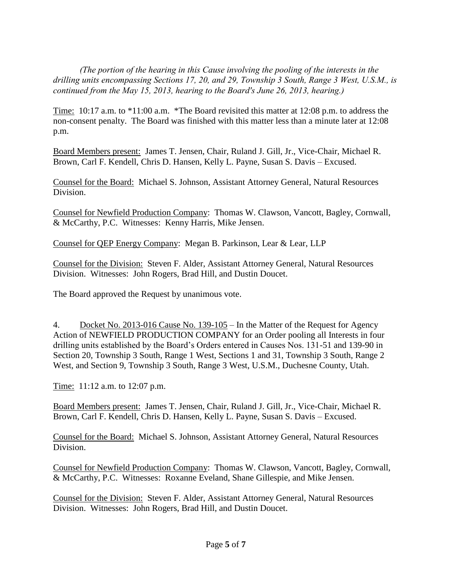*(The portion of the hearing in this Cause involving the pooling of the interests in the drilling units encompassing Sections 17, 20, and 29, Township 3 South, Range 3 West, U.S.M., is continued from the May 15, 2013, hearing to the Board's June 26, 2013, hearing.)*

Time: 10:17 a.m. to \*11:00 a.m. \*The Board revisited this matter at 12:08 p.m. to address the non-consent penalty. The Board was finished with this matter less than a minute later at 12:08 p.m.

Board Members present: James T. Jensen, Chair, Ruland J. Gill, Jr., Vice-Chair, Michael R. Brown, Carl F. Kendell, Chris D. Hansen, Kelly L. Payne, Susan S. Davis – Excused.

Counsel for the Board: Michael S. Johnson, Assistant Attorney General, Natural Resources Division.

Counsel for Newfield Production Company: Thomas W. Clawson, Vancott, Bagley, Cornwall, & McCarthy, P.C. Witnesses: Kenny Harris, Mike Jensen.

Counsel for QEP Energy Company: Megan B. Parkinson, Lear & Lear, LLP

Counsel for the Division: Steven F. Alder, Assistant Attorney General, Natural Resources Division. Witnesses: John Rogers, Brad Hill, and Dustin Doucet.

The Board approved the Request by unanimous vote.

4. Docket No. 2013-016 Cause No. 139-105 – In the Matter of the Request for Agency Action of NEWFIELD PRODUCTION COMPANY for an Order pooling all Interests in four drilling units established by the Board's Orders entered in Causes Nos. 131-51 and 139-90 in Section 20, Township 3 South, Range 1 West, Sections 1 and 31, Township 3 South, Range 2 West, and Section 9, Township 3 South, Range 3 West, U.S.M., Duchesne County, Utah.

Time: 11:12 a.m. to 12:07 p.m.

Board Members present: James T. Jensen, Chair, Ruland J. Gill, Jr., Vice-Chair, Michael R. Brown, Carl F. Kendell, Chris D. Hansen, Kelly L. Payne, Susan S. Davis – Excused.

Counsel for the Board: Michael S. Johnson, Assistant Attorney General, Natural Resources Division.

Counsel for Newfield Production Company: Thomas W. Clawson, Vancott, Bagley, Cornwall, & McCarthy, P.C. Witnesses: Roxanne Eveland, Shane Gillespie, and Mike Jensen.

Counsel for the Division: Steven F. Alder, Assistant Attorney General, Natural Resources Division. Witnesses: John Rogers, Brad Hill, and Dustin Doucet.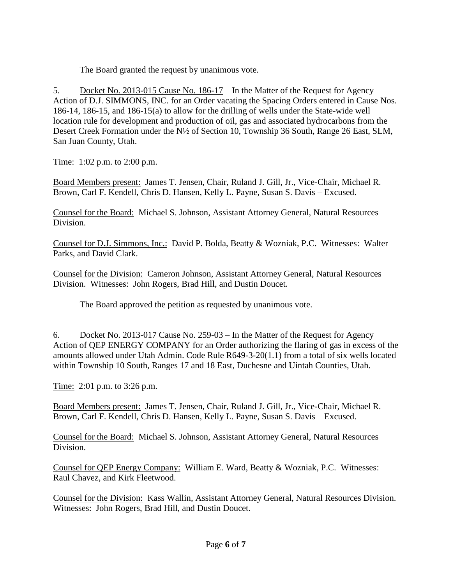The Board granted the request by unanimous vote.

5. Docket No. 2013-015 Cause No. 186-17 – In the Matter of the Request for Agency Action of D.J. SIMMONS, INC. for an Order vacating the Spacing Orders entered in Cause Nos. 186-14, 186-15, and 186-15(a) to allow for the drilling of wells under the State-wide well location rule for development and production of oil, gas and associated hydrocarbons from the Desert Creek Formation under the N½ of Section 10, Township 36 South, Range 26 East, SLM, San Juan County, Utah.

Time: 1:02 p.m. to 2:00 p.m.

Board Members present: James T. Jensen, Chair, Ruland J. Gill, Jr., Vice-Chair, Michael R. Brown, Carl F. Kendell, Chris D. Hansen, Kelly L. Payne, Susan S. Davis – Excused.

Counsel for the Board: Michael S. Johnson, Assistant Attorney General, Natural Resources Division.

Counsel for D.J. Simmons, Inc.: David P. Bolda, Beatty & Wozniak, P.C. Witnesses: Walter Parks, and David Clark.

Counsel for the Division: Cameron Johnson, Assistant Attorney General, Natural Resources Division. Witnesses: John Rogers, Brad Hill, and Dustin Doucet.

The Board approved the petition as requested by unanimous vote.

6. Docket No. 2013-017 Cause No.  $259-03$  – In the Matter of the Request for Agency Action of QEP ENERGY COMPANY for an Order authorizing the flaring of gas in excess of the amounts allowed under Utah Admin. Code Rule R649-3-20(1.1) from a total of six wells located within Township 10 South, Ranges 17 and 18 East, Duchesne and Uintah Counties, Utah.

Time: 2:01 p.m. to 3:26 p.m.

Board Members present: James T. Jensen, Chair, Ruland J. Gill, Jr., Vice-Chair, Michael R. Brown, Carl F. Kendell, Chris D. Hansen, Kelly L. Payne, Susan S. Davis – Excused.

Counsel for the Board: Michael S. Johnson, Assistant Attorney General, Natural Resources Division.

Counsel for QEP Energy Company: William E. Ward, Beatty & Wozniak, P.C. Witnesses: Raul Chavez, and Kirk Fleetwood.

Counsel for the Division: Kass Wallin, Assistant Attorney General, Natural Resources Division. Witnesses: John Rogers, Brad Hill, and Dustin Doucet.